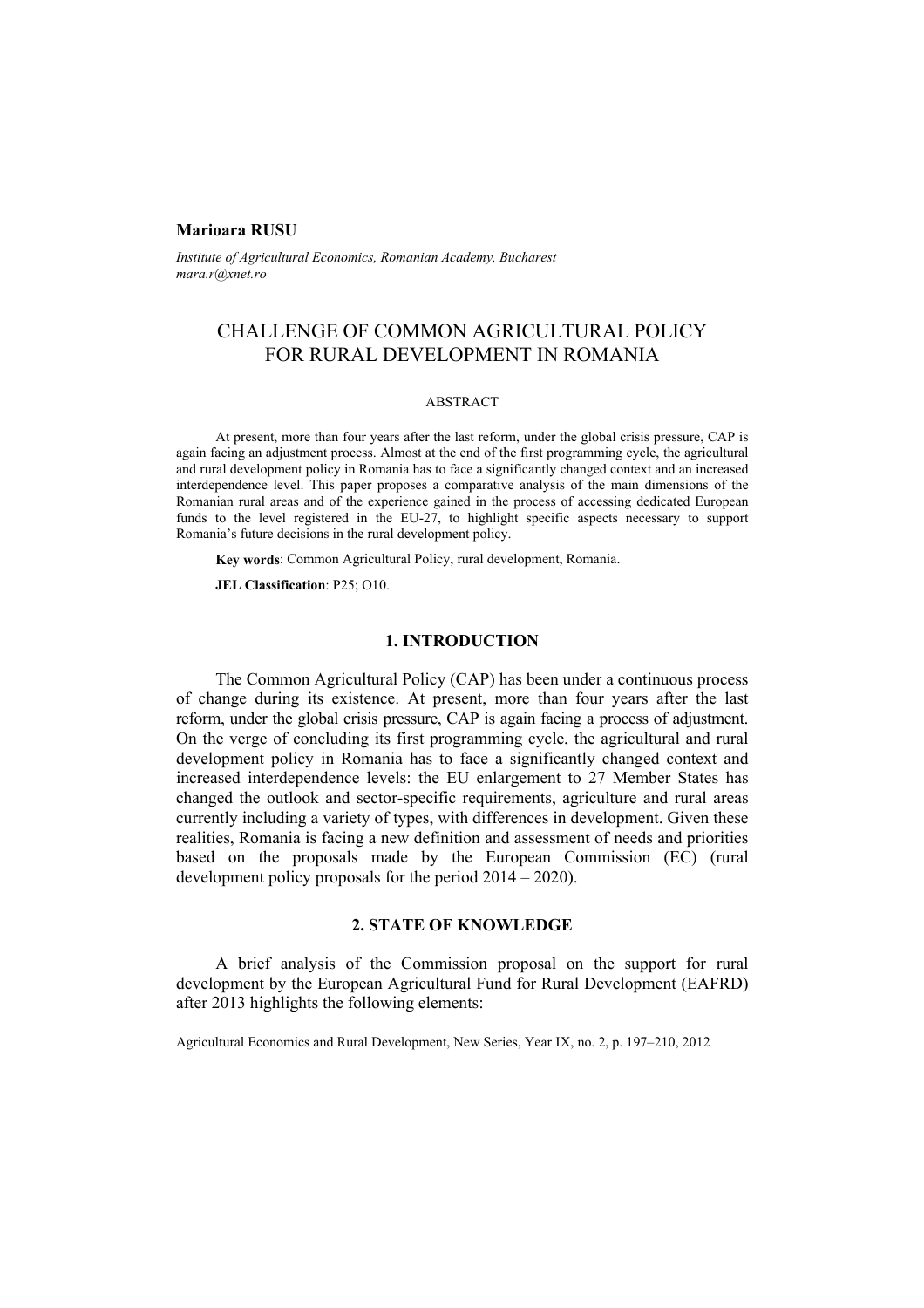#### **Marioara RUSU**

*Institute of Agricultural Economics, Romanian Academy, Bucharest mara.r@xnet.ro* 

# CHALLENGE OF COMMON AGRICULTURAL POLICY FOR RURAL DEVELOPMENT IN ROMANIA

### ABSTRACT

At present, more than four years after the last reform, under the global crisis pressure, CAP is again facing an adjustment process. Almost at the end of the first programming cycle, the agricultural and rural development policy in Romania has to face a significantly changed context and an increased interdependence level. This paper proposes a comparative analysis of the main dimensions of the Romanian rural areas and of the experience gained in the process of accessing dedicated European funds to the level registered in the EU-27, to highlight specific aspects necessary to support Romania's future decisions in the rural development policy.

**Key words**: Common Agricultural Policy, rural development, Romania.

**JEL Classification**: P25; O10.

#### **1. INTRODUCTION**

The Common Agricultural Policy (CAP) has been under a continuous process of change during its existence. At present, more than four years after the last reform, under the global crisis pressure, CAP is again facing a process of adjustment. On the verge of concluding its first programming cycle, the agricultural and rural development policy in Romania has to face a significantly changed context and increased interdependence levels: the EU enlargement to 27 Member States has changed the outlook and sector-specific requirements, agriculture and rural areas currently including a variety of types, with differences in development. Given these realities, Romania is facing a new definition and assessment of needs and priorities based on the proposals made by the European Commission (EC) (rural development policy proposals for the period 2014 – 2020).

## **2. STATE OF KNOWLEDGE**

A brief analysis of the Commission proposal on the support for rural development by the European Agricultural Fund for Rural Development (EAFRD) after 2013 highlights the following elements:

Agricultural Economics and Rural Development, New Series, Year IX, no. 2, p. 197–210, 2012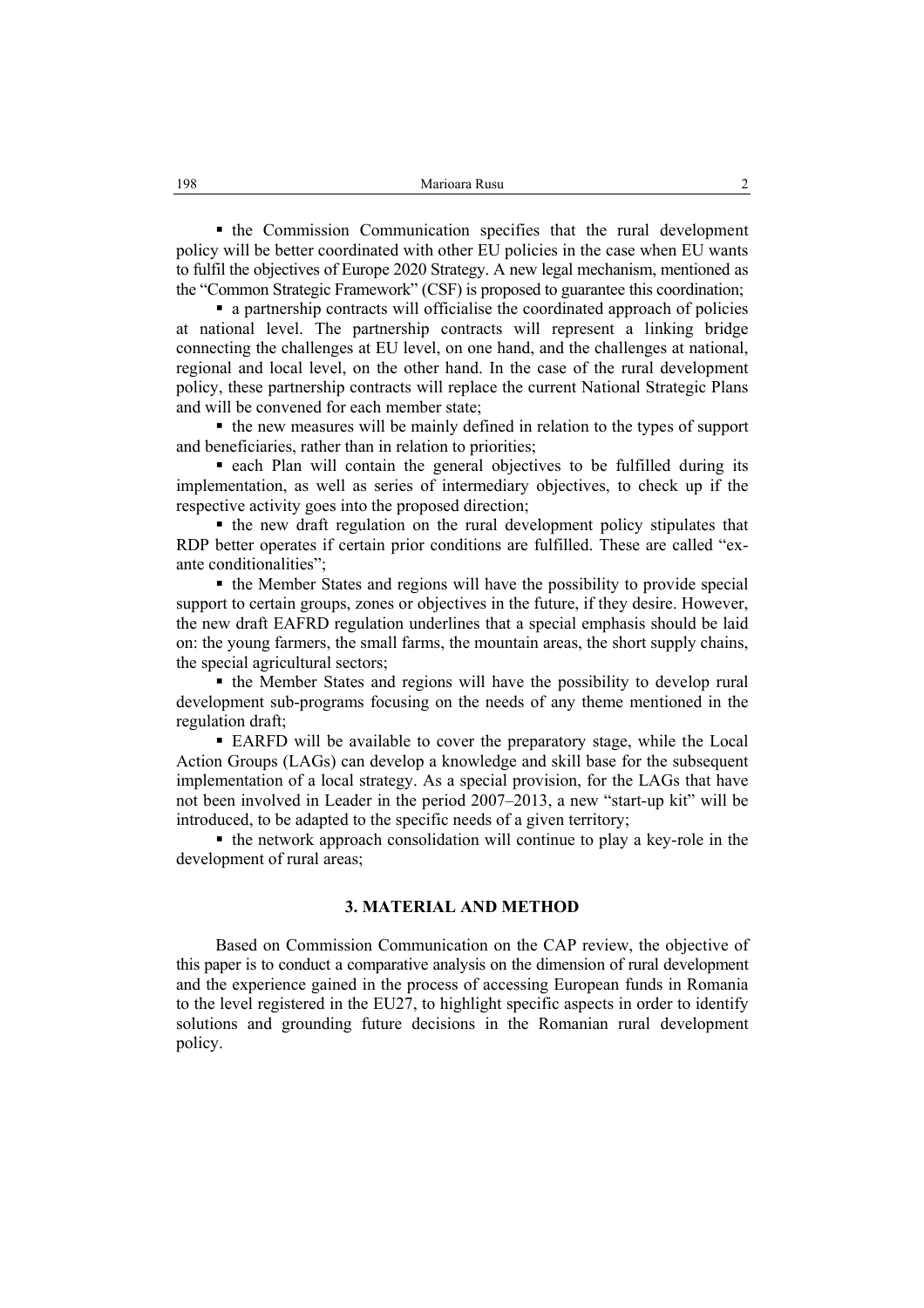the Commission Communication specifies that the rural development policy will be better coordinated with other EU policies in the case when EU wants to fulfil the objectives of Europe 2020 Strategy. A new legal mechanism, mentioned as the "Common Strategic Framework" (CSF) is proposed to guarantee this coordination;

 a partnership contracts will officialise the coordinated approach of policies at national level. The partnership contracts will represent a linking bridge connecting the challenges at EU level, on one hand, and the challenges at national, regional and local level, on the other hand. In the case of the rural development policy, these partnership contracts will replace the current National Strategic Plans and will be convened for each member state;

 the new measures will be mainly defined in relation to the types of support and beneficiaries, rather than in relation to priorities;

 each Plan will contain the general objectives to be fulfilled during its implementation, as well as series of intermediary objectives, to check up if the respective activity goes into the proposed direction;

 the new draft regulation on the rural development policy stipulates that RDP better operates if certain prior conditions are fulfilled. These are called "exante conditionalities";

 the Member States and regions will have the possibility to provide special support to certain groups, zones or objectives in the future, if they desire. However, the new draft EAFRD regulation underlines that a special emphasis should be laid on: the young farmers, the small farms, the mountain areas, the short supply chains, the special agricultural sectors;

 the Member States and regions will have the possibility to develop rural development sub-programs focusing on the needs of any theme mentioned in the regulation draft;

 EARFD will be available to cover the preparatory stage, while the Local Action Groups (LAGs) can develop a knowledge and skill base for the subsequent implementation of a local strategy. As a special provision, for the LAGs that have not been involved in Leader in the period 2007–2013, a new "start-up kit" will be introduced, to be adapted to the specific needs of a given territory;

 $\blacksquare$  the network approach consolidation will continue to play a key-role in the development of rural areas;

#### **3. MATERIAL AND METHOD**

Based on Commission Communication on the CAP review, the objective of this paper is to conduct a comparative analysis on the dimension of rural development and the experience gained in the process of accessing European funds in Romania to the level registered in the EU27, to highlight specific aspects in order to identify solutions and grounding future decisions in the Romanian rural development policy.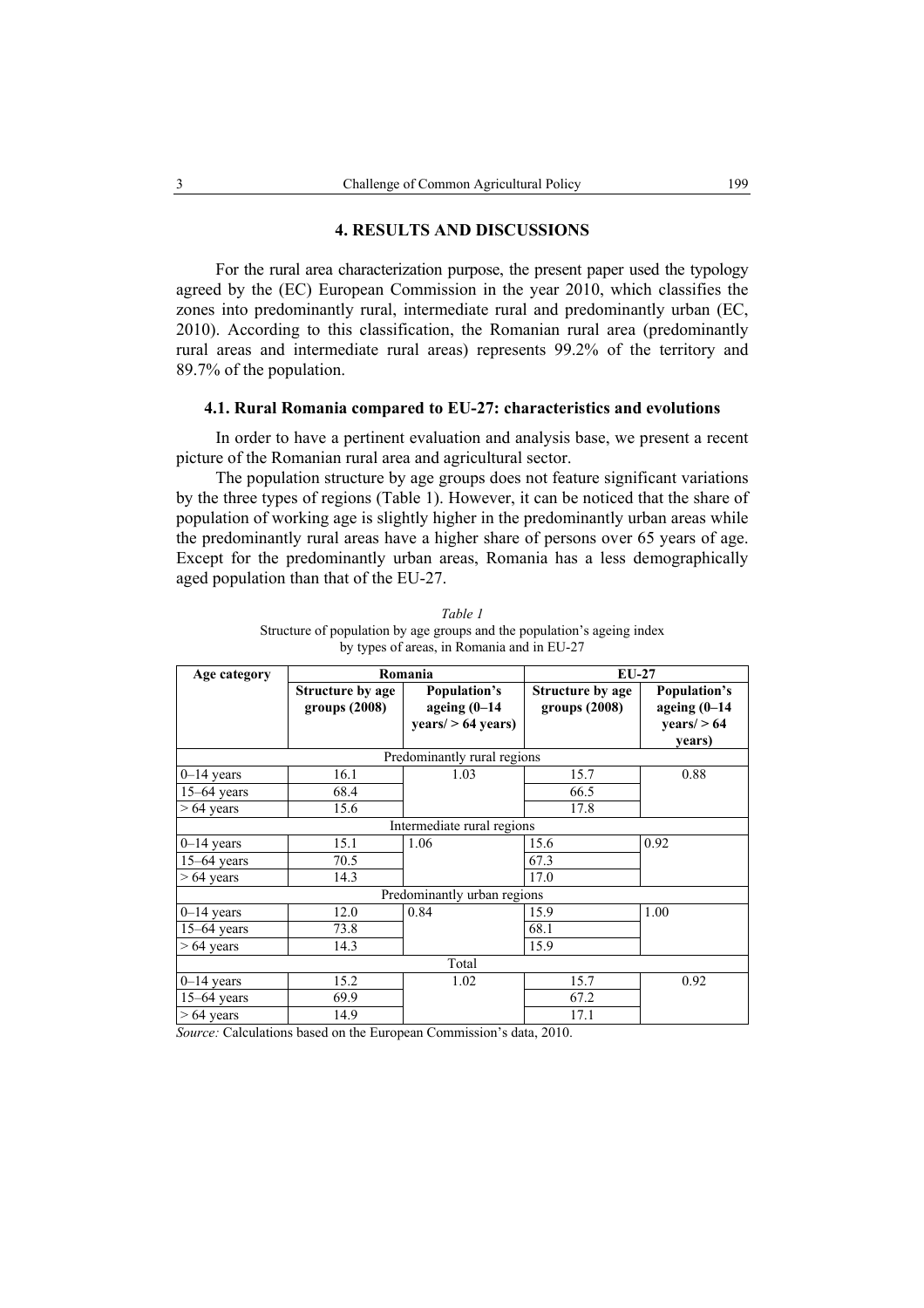#### **4. RESULTS AND DISCUSSIONS**

For the rural area characterization purpose, the present paper used the typology agreed by the (EC) European Commission in the year 2010, which classifies the zones into predominantly rural, intermediate rural and predominantly urban (EC, 2010). According to this classification, the Romanian rural area (predominantly rural areas and intermediate rural areas) represents 99.2% of the territory and 89.7% of the population.

#### **4.1. Rural Romania compared to EU-27: characteristics and evolutions**

In order to have a pertinent evaluation and analysis base, we present a recent picture of the Romanian rural area and agricultural sector.

The population structure by age groups does not feature significant variations by the three types of regions (Table 1). However, it can be noticed that the share of population of working age is slightly higher in the predominantly urban areas while the predominantly rural areas have a higher share of persons over 65 years of age. Except for the predominantly urban areas, Romania has a less demographically aged population than that of the EU-27.

| Age category               | Romania<br>$EU-27$                |                                                        |                                          |                                                             |  |
|----------------------------|-----------------------------------|--------------------------------------------------------|------------------------------------------|-------------------------------------------------------------|--|
|                            | Structure by age<br>groups (2008) | Population's<br>ageing $(0-14)$<br>years / > 64 years) | <b>Structure by age</b><br>groups (2008) | Population's<br>ageing $(0-14)$<br>years $/$ > 64<br>years) |  |
|                            |                                   | Predominantly rural regions                            |                                          |                                                             |  |
| $0-14$ years               | 16.1                              | 1.03                                                   | 15.7                                     | 0.88                                                        |  |
| $15-64$ years              | 68.4                              |                                                        | 66.5                                     |                                                             |  |
| $> 64$ years               | 15.6                              |                                                        | 17.8                                     |                                                             |  |
| Intermediate rural regions |                                   |                                                        |                                          |                                                             |  |
| $0-14$ years               | 15.1                              | 1.06                                                   | 15.6                                     | 0.92                                                        |  |
| $15-64$ years              | 70.5                              |                                                        | 67.3                                     |                                                             |  |
| $> 64$ years               | 14.3                              |                                                        | 17.0                                     |                                                             |  |
|                            |                                   | Predominantly urban regions                            |                                          |                                                             |  |
| $0-14$ years               | 12.0                              | 0.84                                                   | 15.9                                     | 1.00                                                        |  |
| $15-64$ years              | 73.8                              |                                                        | 68.1                                     |                                                             |  |
| $> 64$ years               | 14.3                              |                                                        | 15.9                                     |                                                             |  |
| Total                      |                                   |                                                        |                                          |                                                             |  |
| $0-14$ years               | 15.2                              | 1.02                                                   | 15.7                                     | 0.92                                                        |  |
| $15-64$ years              | 69.9                              |                                                        | 67.2                                     |                                                             |  |
| $> 64$ years               | 14.9                              |                                                        | 17.1                                     |                                                             |  |

*Table 1*  Structure of population by age groups and the population's ageing index by types of areas, in Romania and in EU-27

*Source:* Calculations based on the European Commission's data, 2010.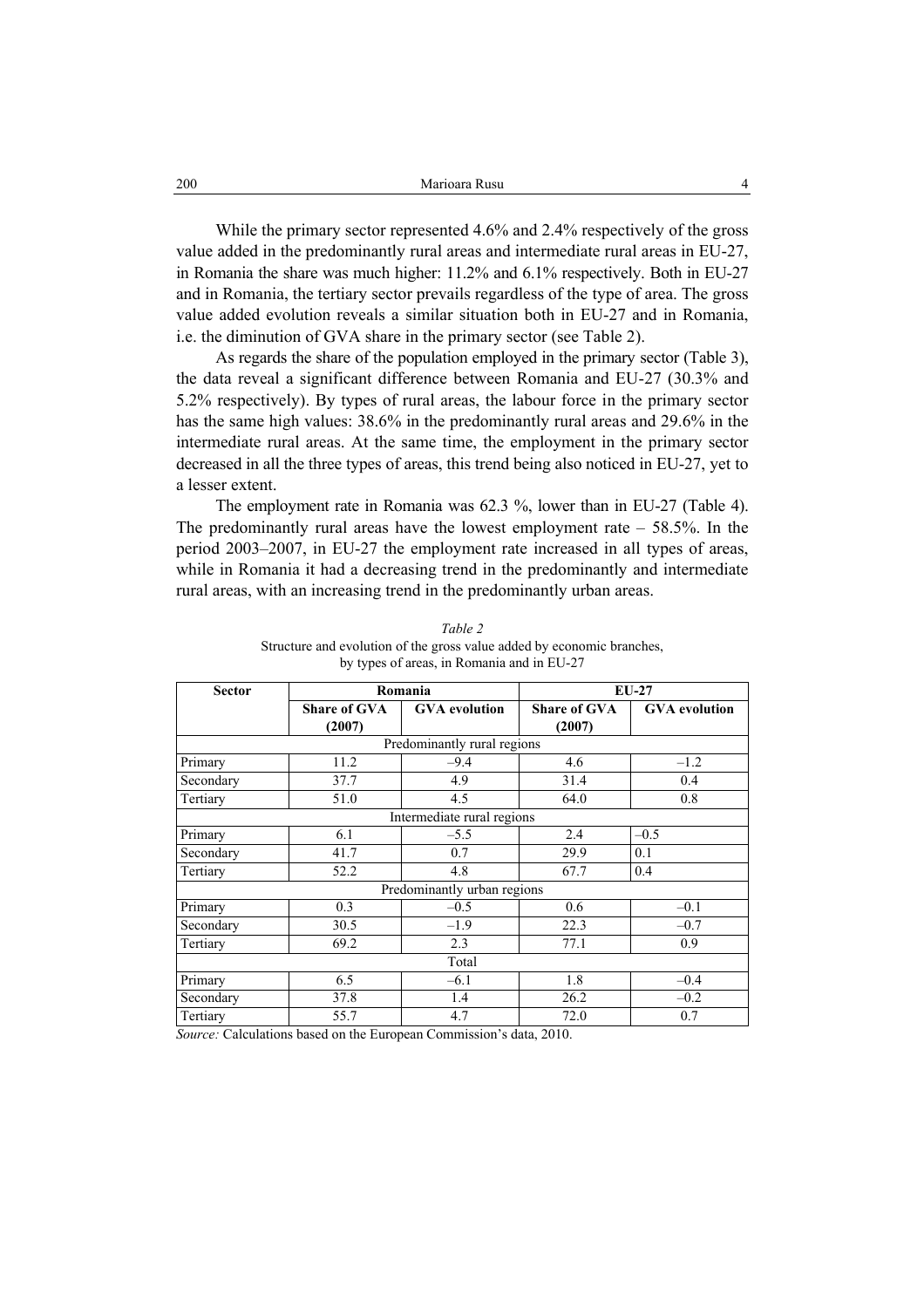While the primary sector represented 4.6% and 2.4% respectively of the gross value added in the predominantly rural areas and intermediate rural areas in EU-27, in Romania the share was much higher: 11.2% and 6.1% respectively. Both in EU-27 and in Romania, the tertiary sector prevails regardless of the type of area. The gross value added evolution reveals a similar situation both in EU-27 and in Romania, i.e. the diminution of GVA share in the primary sector (see Table 2).

As regards the share of the population employed in the primary sector (Table 3), the data reveal a significant difference between Romania and EU-27 (30.3% and 5.2% respectively). By types of rural areas, the labour force in the primary sector has the same high values: 38.6% in the predominantly rural areas and 29.6% in the intermediate rural areas. At the same time, the employment in the primary sector decreased in all the three types of areas, this trend being also noticed in EU-27, yet to a lesser extent.

The employment rate in Romania was 62.3 %, lower than in EU-27 (Table 4). The predominantly rural areas have the lowest employment rate  $-58.5\%$ . In the period 2003–2007, in EU-27 the employment rate increased in all types of areas, while in Romania it had a decreasing trend in the predominantly and intermediate rural areas, with an increasing trend in the predominantly urban areas.

| <b>Sector</b> |                               | Romania                     |                               | $EU-27$              |  |
|---------------|-------------------------------|-----------------------------|-------------------------------|----------------------|--|
|               | <b>Share of GVA</b><br>(2007) | <b>GVA</b> evolution        | <b>Share of GVA</b><br>(2007) | <b>GVA</b> evolution |  |
|               |                               | Predominantly rural regions |                               |                      |  |
| Primary       | 11.2                          | $-9.4$                      | 4.6                           | $-1.2$               |  |
| Secondary     | 37.7                          | 4.9                         | 31.4                          | 0.4                  |  |
| Tertiary      | 51.0                          | 4.5                         | 64.0                          | 0.8                  |  |
|               |                               | Intermediate rural regions  |                               |                      |  |
| Primary       | 6.1                           | $-5.5$                      | 2.4                           | $-0.5$               |  |
| Secondary     | 41.7                          | 0.7                         | 29.9                          | 0.1                  |  |
| Tertiary      | 52.2                          | 4.8                         | 67.7                          | 0.4                  |  |
|               |                               | Predominantly urban regions |                               |                      |  |
| Primary       | 0.3                           | $-0.5$                      | 0.6                           | $-0.1$               |  |
| Secondary     | 30.5                          | $-1.9$                      | 22.3                          | $-0.7$               |  |
| Tertiary      | 69.2                          | 2.3                         | 77.1                          | 0.9                  |  |
|               |                               | Total                       |                               |                      |  |
| Primary       | 6.5                           | $-6.1$                      | 1.8                           | $-0.4$               |  |
| Secondary     | 37.8                          | 1.4                         | 26.2                          | $-0.2$               |  |
| Tertiary      | 55.7                          | 4.7                         | 72.0                          | 0.7                  |  |

*Table 2*  Structure and evolution of the gross value added by economic branches, by types of areas, in Romania and in EU-27

*Source:* Calculations based on the European Commission's data, 2010.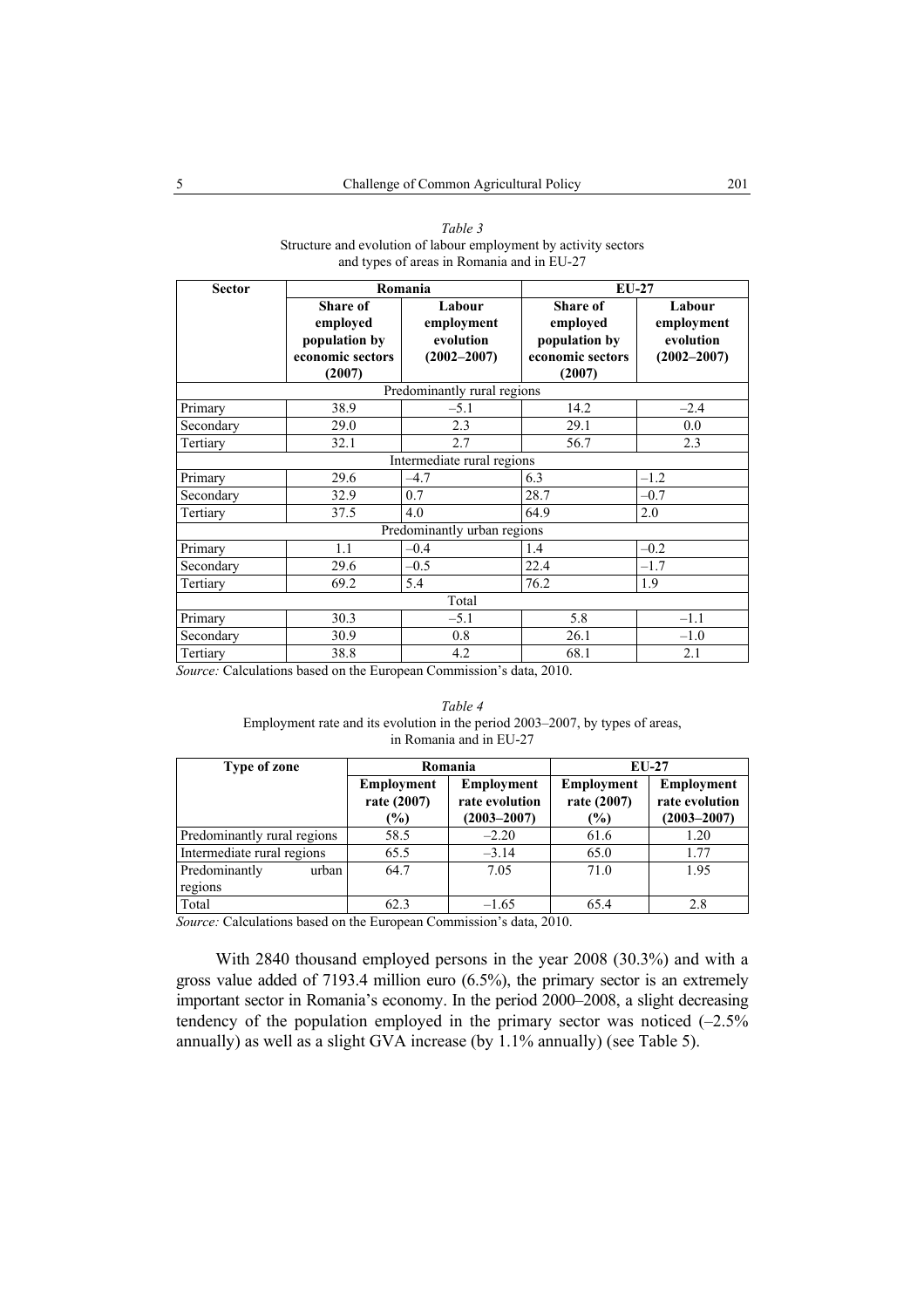| Table 3                                                          |
|------------------------------------------------------------------|
| Structure and evolution of labour employment by activity sectors |
| and types of areas in Romania and in EU-27                       |

| <b>Sector</b>              | Romania          |                             | <b>EU-27</b>     |                 |  |
|----------------------------|------------------|-----------------------------|------------------|-----------------|--|
|                            | Share of         | Labour                      | <b>Share of</b>  | Labour          |  |
|                            | employed         | employment                  | employed         | employment      |  |
|                            | population by    | evolution                   | population by    | evolution       |  |
|                            | economic sectors | $(2002 - 2007)$             | economic sectors | $(2002 - 2007)$ |  |
|                            | (2007)           |                             | (2007)           |                 |  |
|                            |                  | Predominantly rural regions |                  |                 |  |
| Primary                    | 38.9             | $-5.1$                      | 14.2             | $-2.4$          |  |
| Secondary                  | 29.0             | 2.3                         | 29.1             | 0.0             |  |
| Tertiary                   | 32.1             | 2.7                         | 56.7             | 2.3             |  |
|                            |                  | Intermediate rural regions  |                  |                 |  |
| Primary                    | 29.6             | $-4.7$                      | 6.3              | $-1.2$          |  |
| Secondary                  | 32.9             | 0.7                         | 28.7             | $-0.7$          |  |
| Tertiary                   | 37.5             | 4.0                         | 64.9             | 2.0             |  |
|                            |                  | Predominantly urban regions |                  |                 |  |
| Primary                    | 1.1              | $-0.4$                      | 1.4              | $-0.2$          |  |
| Secondary                  | 29.6             | $-0.5$                      | 22.4             | $-1.7$          |  |
| Tertiary                   | 69.2             | 5.4                         | 76.2             | 1.9             |  |
| Total                      |                  |                             |                  |                 |  |
| Primary                    | 30.3             | $-5.1$                      | 5.8              | $-1.1$          |  |
| Secondary                  | 30.9             | 0.8                         | 26.1             | $-1.0$          |  |
| Tertiary<br>$-1$ $-1$ $-1$ | 38.8             | 4.2<br>.                    | 68.1             | 2.1             |  |

*Source:* Calculations based on the European Commission's data, 2010.

| Table 4                                                                       |
|-------------------------------------------------------------------------------|
| Employment rate and its evolution in the period 2003–2007, by types of areas, |
| in Romania and in EU-27                                                       |

| Type of zone                      |                                     | Romania                                                | $EU-27$                                    |                                                        |
|-----------------------------------|-------------------------------------|--------------------------------------------------------|--------------------------------------------|--------------------------------------------------------|
|                                   | Employment<br>rate (2007)<br>$(\%)$ | <b>Employment</b><br>rate evolution<br>$(2003 - 2007)$ | <b>Employment</b><br>rate (2007)<br>$(\%)$ | <b>Employment</b><br>rate evolution<br>$(2003 - 2007)$ |
| Predominantly rural regions       | 58.5                                | $-2.20$                                                | 61.6                                       | 1.20                                                   |
| Intermediate rural regions        | 65.5                                | $-3.14$                                                | 65.0                                       | 1.77                                                   |
| Predominantly<br>urban<br>regions | 64.7                                | 7.05                                                   | 71.0                                       | 195                                                    |
| Total                             | 62.3                                | $-1.65$                                                | 65.4                                       | 2.8                                                    |

*Source:* Calculations based on the European Commission's data, 2010.

With 2840 thousand employed persons in the year 2008 (30.3%) and with a gross value added of 7193.4 million euro (6.5%), the primary sector is an extremely important sector in Romania's economy. In the period 2000–2008, a slight decreasing tendency of the population employed in the primary sector was noticed  $(-2.5\%$ annually) as well as a slight GVA increase (by 1.1% annually) (see Table 5).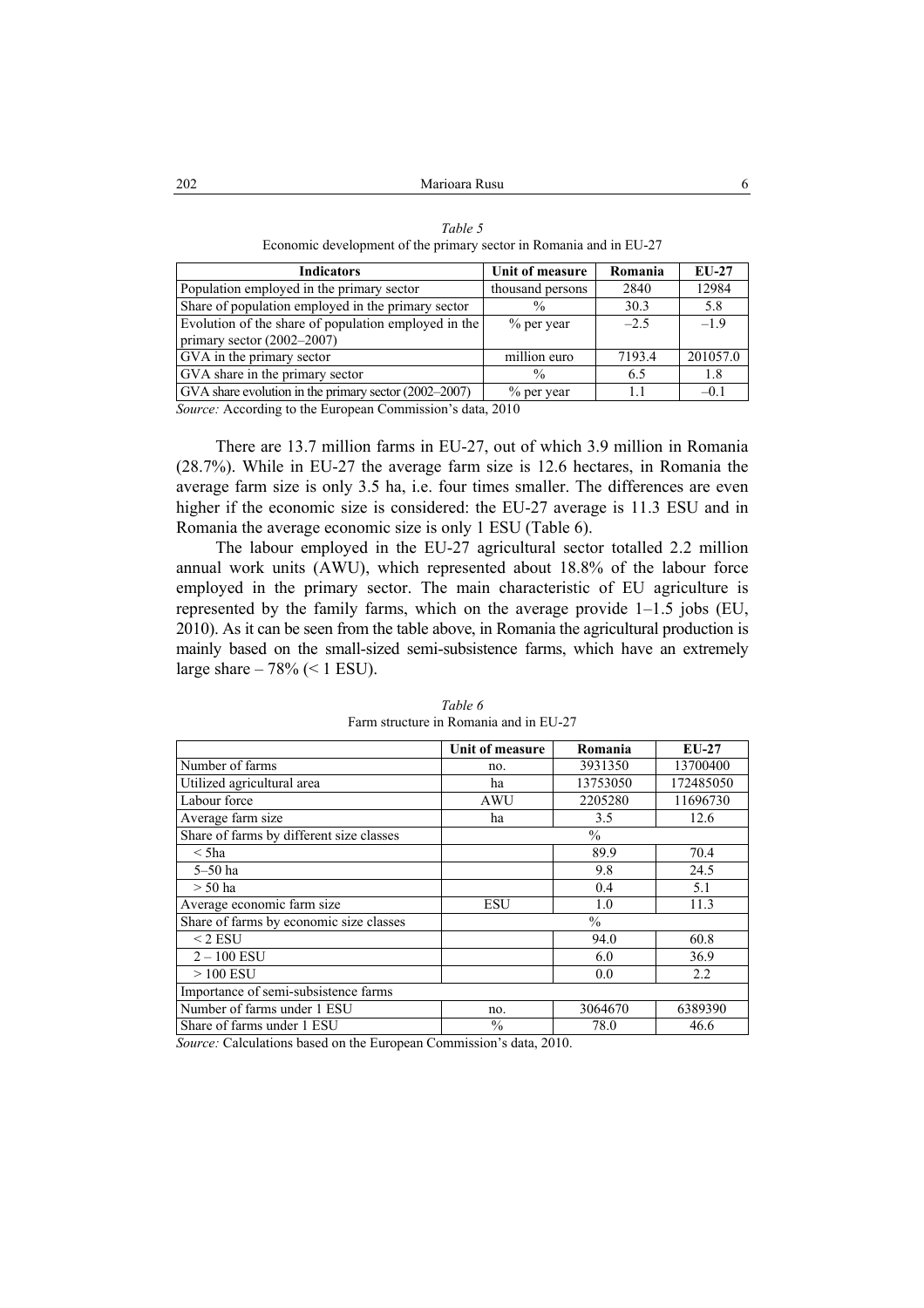| <b>Indicators</b>                                     | Unit of measure  | Romania | EU-27    |
|-------------------------------------------------------|------------------|---------|----------|
| Population employed in the primary sector             | thousand persons | 2840    | 12984    |
| Share of population employed in the primary sector    | $\frac{0}{0}$    | 30.3    | 5.8      |
| Evolution of the share of population employed in the  | $%$ per year     | $-2.5$  | $-19$    |
| primary sector $(2002-2007)$                          |                  |         |          |
| GVA in the primary sector                             | million euro     | 7193.4  | 201057.0 |
| GVA share in the primary sector                       | $\frac{0}{0}$    | 6.5     | 1.8      |
| GVA share evolution in the primary sector (2002–2007) | $%$ per year     | 1.1     | $-0.1$   |

*Table 5*  Economic development of the primary sector in Romania and in EU-27

*Source:* According to the European Commission's data, 2010

There are 13.7 million farms in EU-27, out of which 3.9 million in Romania (28.7%). While in EU-27 the average farm size is 12.6 hectares, in Romania the average farm size is only 3.5 ha, i.e. four times smaller. The differences are even higher if the economic size is considered: the EU-27 average is 11.3 ESU and in Romania the average economic size is only 1 ESU (Table 6).

The labour employed in the EU-27 agricultural sector totalled 2.2 million annual work units (AWU), which represented about 18.8% of the labour force employed in the primary sector. The main characteristic of EU agriculture is represented by the family farms, which on the average provide 1–1.5 jobs (EU, 2010). As it can be seen from the table above, in Romania the agricultural production is mainly based on the small-sized semi-subsistence farms, which have an extremely large share  $-78\%$  ( $\leq 1$  ESU).

|                                          | Unit of measure | Romania       | $EU-27$   |
|------------------------------------------|-----------------|---------------|-----------|
| Number of farms                          | no.             | 3931350       | 13700400  |
| Utilized agricultural area               | ha              | 13753050      | 172485050 |
| Labour force                             | <b>AWU</b>      | 2205280       | 11696730  |
| Average farm size                        | ha              | 3.5           | 12.6      |
| Share of farms by different size classes |                 | $\frac{0}{0}$ |           |
| $<$ 5ha                                  |                 | 89.9          | 70.4      |
| $5-50$ ha                                |                 | 9.8           | 24.5      |
| $> 50$ ha                                |                 | 0.4           | 5.1       |
| Average economic farm size               | <b>ESU</b>      | 1.0           | 11.3      |
| Share of farms by economic size classes  |                 | $\frac{0}{0}$ |           |
| $<$ 2 ESU                                |                 | 94.0          | 60.8      |
| $2 - 100$ ESU                            |                 | 6.0           | 36.9      |
| $>100$ ESU                               |                 | 0.0           | 2.2       |
| Importance of semi-subsistence farms     |                 |               |           |
| Number of farms under 1 ESU              | no.             | 3064670       | 6389390   |
| Share of farms under 1 ESU               | $\frac{0}{0}$   | 78.0          | 46.6      |

*Table 6*  Farm structure in Romania and in EU-27

*Source:* Calculations based on the European Commission's data, 2010.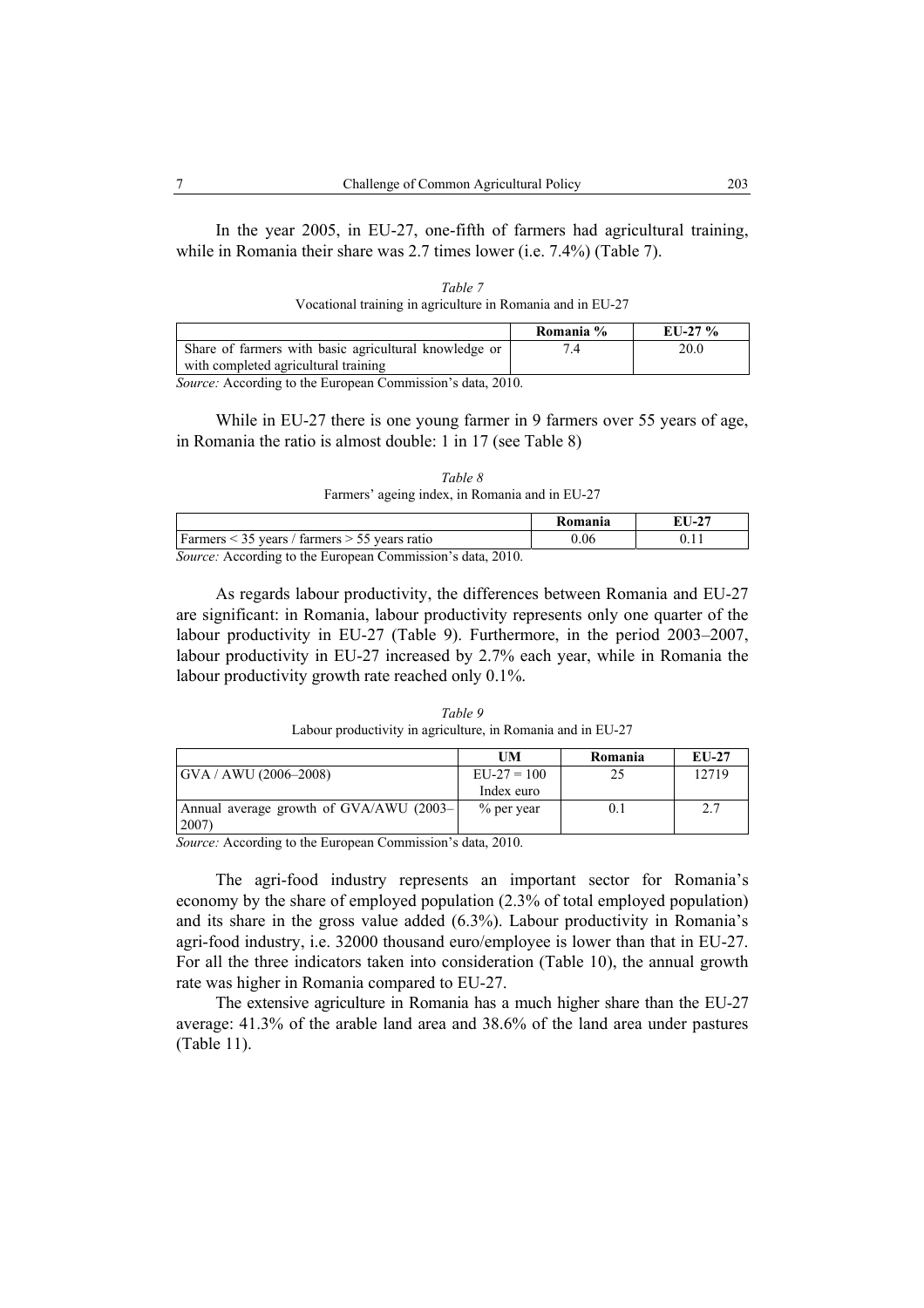In the year 2005, in EU-27, one-fifth of farmers had agricultural training, while in Romania their share was 2.7 times lower (i.e. 7.4%) (Table 7).

| Table 7                                                    |
|------------------------------------------------------------|
| Vocational training in agriculture in Romania and in EU-27 |

|                                                       | Romania % | $EU-27\%$ |
|-------------------------------------------------------|-----------|-----------|
| Share of farmers with basic agricultural knowledge or |           | 20.0      |
| with completed agricultural training                  |           |           |

*Source:* According to the European Commission's data, 2010.

While in EU-27 there is one young farmer in 9 farmers over 55 years of age, in Romania the ratio is almost double: 1 in 17 (see Table 8)

|  | Table 8 |                                                |
|--|---------|------------------------------------------------|
|  |         | Farmers' ageing index, in Romania and in EU-27 |

|                                                                   | Romania | EU-27 |
|-------------------------------------------------------------------|---------|-------|
| $\text{Farmers}$ < 35 years / farmers > 55 years ratio            | 0.06    |       |
| <i>Source:</i> According to the European Commission's data, 2010. |         |       |

As regards labour productivity, the differences between Romania and EU-27 are significant: in Romania, labour productivity represents only one quarter of the labour productivity in EU-27 (Table 9). Furthermore, in the period 2003–2007, labour productivity in EU-27 increased by 2.7% each year, while in Romania the labour productivity growth rate reached only 0.1%.

| Table 9                                                     |
|-------------------------------------------------------------|
| Labour productivity in agriculture, in Romania and in EU-27 |

|                                         | UM            | Romania | EU-27 |
|-----------------------------------------|---------------|---------|-------|
| GVA / AWU (2006–2008)                   | $EU-27 = 100$ | 25      | 12719 |
|                                         | Index euro    |         |       |
| Annual average growth of GVA/AWU (2003- | $\%$ per year |         | 2.7   |
| 2007)                                   |               |         |       |

*Source:* According to the European Commission's data, 2010.

The agri-food industry represents an important sector for Romania's economy by the share of employed population (2.3% of total employed population) and its share in the gross value added (6.3%). Labour productivity in Romania's agri-food industry, i.e. 32000 thousand euro/employee is lower than that in EU-27. For all the three indicators taken into consideration (Table 10), the annual growth rate was higher in Romania compared to EU-27.

The extensive agriculture in Romania has a much higher share than the EU-27 average: 41.3% of the arable land area and 38.6% of the land area under pastures (Table 11).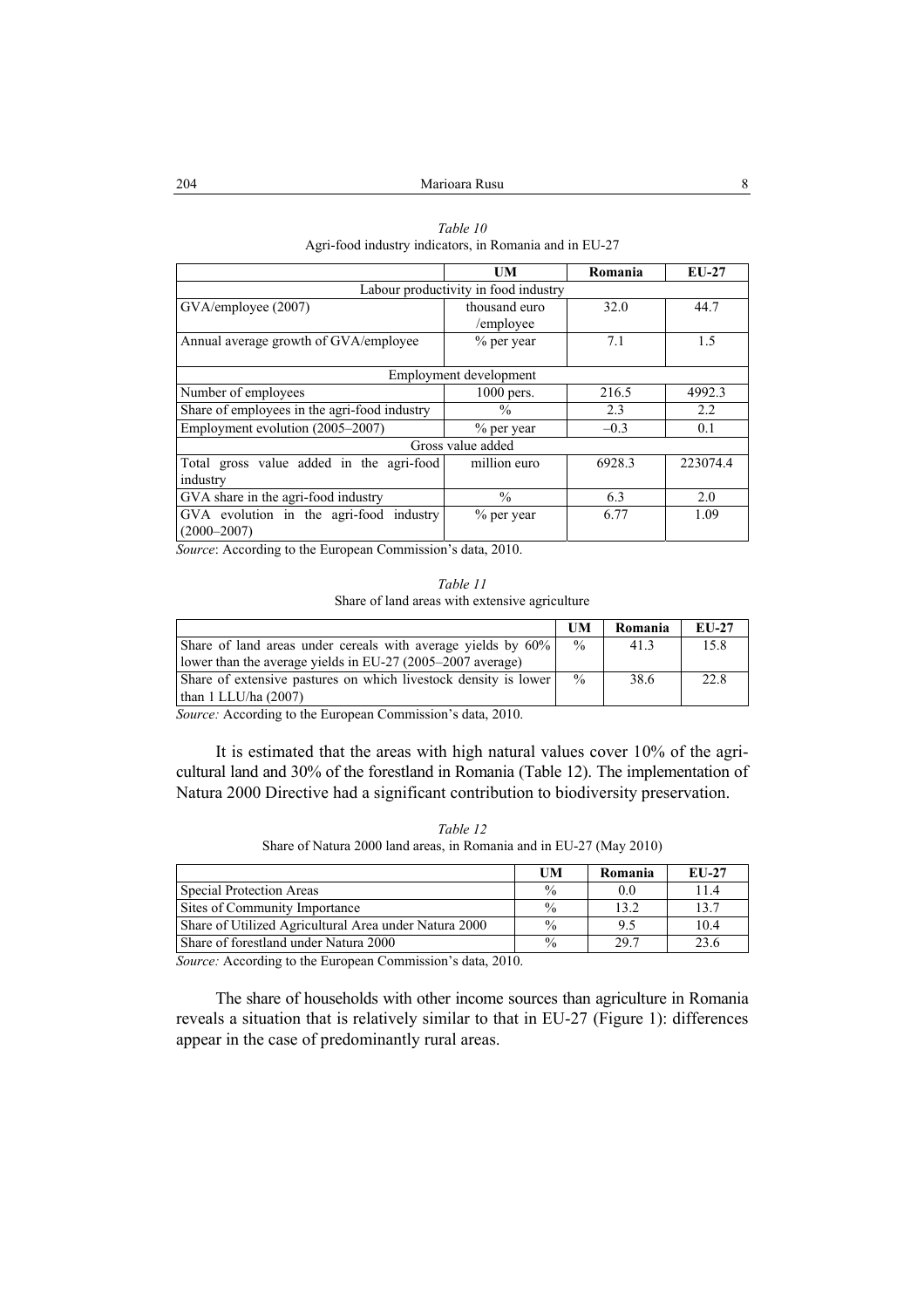|                                                            | UM                                   | Romania | $EU-27$  |  |  |
|------------------------------------------------------------|--------------------------------------|---------|----------|--|--|
|                                                            | Labour productivity in food industry |         |          |  |  |
| GVA/employee (2007)                                        | thousand euro<br>/employee           | 32.0    | 44.7     |  |  |
| Annual average growth of GVA/employee                      | % per year                           | 7.1     | 1.5      |  |  |
|                                                            | Employment development               |         |          |  |  |
| Number of employees                                        | $1000$ pers.                         | 216.5   | 4992.3   |  |  |
| Share of employees in the agri-food industry               | $\frac{0}{0}$                        | 2.3     | 2.2      |  |  |
| Employment evolution (2005–2007)                           | % per year                           | $-0.3$  | 0.1      |  |  |
|                                                            | Gross value added                    |         |          |  |  |
| Total gross value added in the agri-food<br>industry       | million euro                         | 6928.3  | 223074.4 |  |  |
| GVA share in the agri-food industry                        | $\frac{0}{0}$                        | 6.3     | 2.0      |  |  |
| GVA evolution in the agri-food industry<br>$(2000 - 2007)$ | $%$ per year                         | 6.77    | 1.09     |  |  |

*Table 10*  Agri-food industry indicators, in Romania and in EU-27

*Source*: According to the European Commission's data, 2010.

*Table 11*  Share of land areas with extensive agriculture

|                                                                 | UM            | Romania | EU-27 |
|-----------------------------------------------------------------|---------------|---------|-------|
| Share of land areas under cereals with average vields by 60%    | $\frac{0}{0}$ | 413     | 15.8  |
| lower than the average yields in EU-27 (2005–2007 average)      |               |         |       |
| Share of extensive pastures on which livestock density is lower | $\frac{0}{0}$ | 38.6    | 22.8  |
| than $1$ LLU/ha $(2007)$                                        |               |         |       |

*Source:* According to the European Commission's data, 2010.

It is estimated that the areas with high natural values cover 10% of the agricultural land and 30% of the forestland in Romania (Table 12). The implementation of Natura 2000 Directive had a significant contribution to biodiversity preservation.

*Table 12*  Share of Natura 2000 land areas, in Romania and in EU-27 (May 2010)

|                                                       | UM            | Romania        | EU-27 |
|-------------------------------------------------------|---------------|----------------|-------|
| Special Protection Areas                              | $\frac{0}{0}$ | 0 <sub>0</sub> | 11.4  |
| Sites of Community Importance                         | $\frac{0}{0}$ | 132            | 137   |
| Share of Utilized Agricultural Area under Natura 2000 | $\frac{0}{0}$ |                | 10.4  |
| Share of forestland under Natura 2000                 | $\frac{0}{0}$ | 29.7           | 23.6  |

*Source:* According to the European Commission's data, 2010.

The share of households with other income sources than agriculture in Romania reveals a situation that is relatively similar to that in EU-27 (Figure 1): differences appear in the case of predominantly rural areas.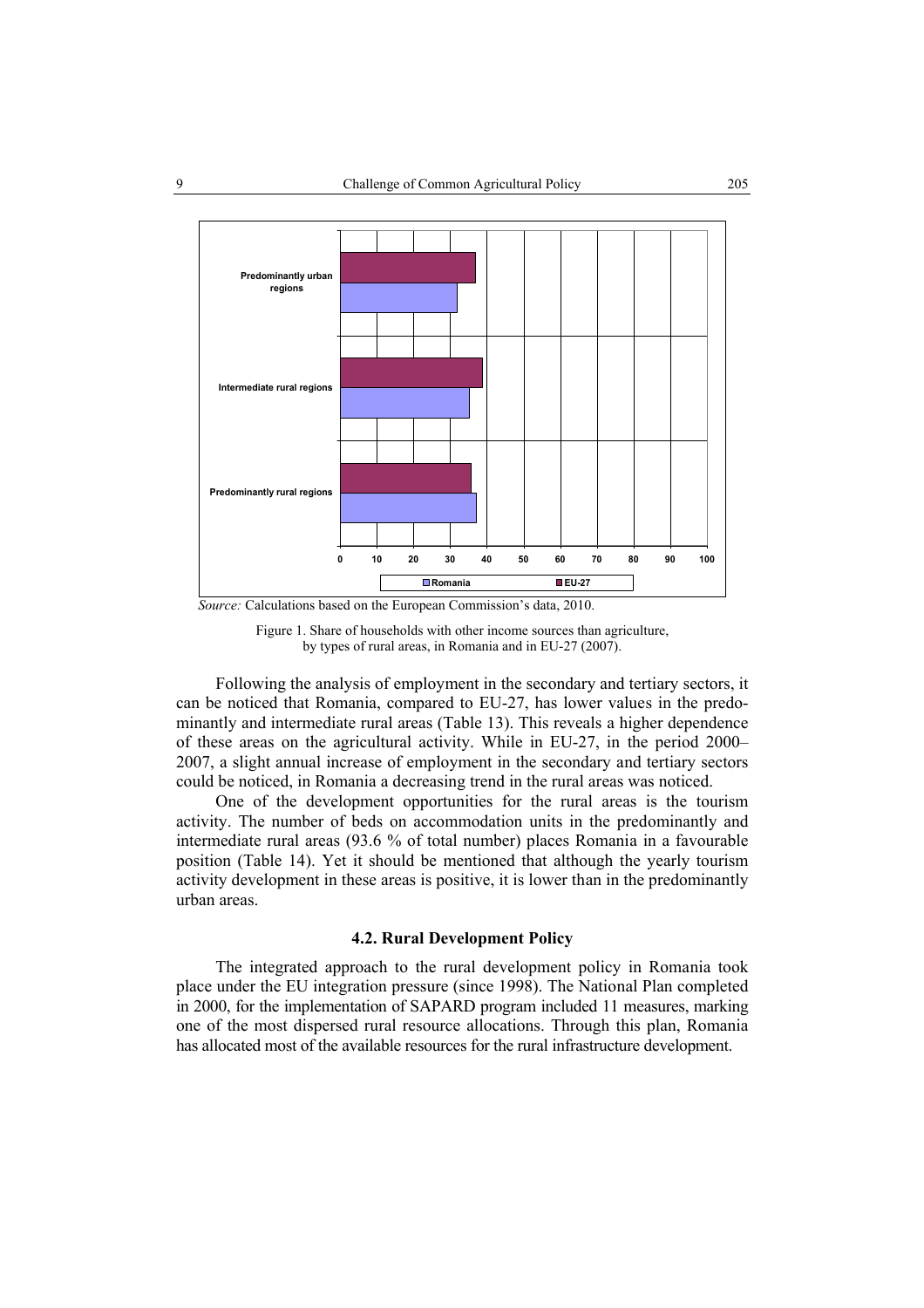

*Source:* Calculations based on the European Commission's data, 2010.



Following the analysis of employment in the secondary and tertiary sectors, it can be noticed that Romania, compared to EU-27, has lower values in the predominantly and intermediate rural areas (Table 13). This reveals a higher dependence of these areas on the agricultural activity. While in EU-27, in the period 2000– 2007, a slight annual increase of employment in the secondary and tertiary sectors could be noticed, in Romania a decreasing trend in the rural areas was noticed.

One of the development opportunities for the rural areas is the tourism activity. The number of beds on accommodation units in the predominantly and intermediate rural areas (93.6 % of total number) places Romania in a favourable position (Table 14). Yet it should be mentioned that although the yearly tourism activity development in these areas is positive, it is lower than in the predominantly urban areas.

#### **4.2. Rural Development Policy**

The integrated approach to the rural development policy in Romania took place under the EU integration pressure (since 1998). The National Plan completed in 2000, for the implementation of SAPARD program included 11 measures, marking one of the most dispersed rural resource allocations. Through this plan, Romania has allocated most of the available resources for the rural infrastructure development.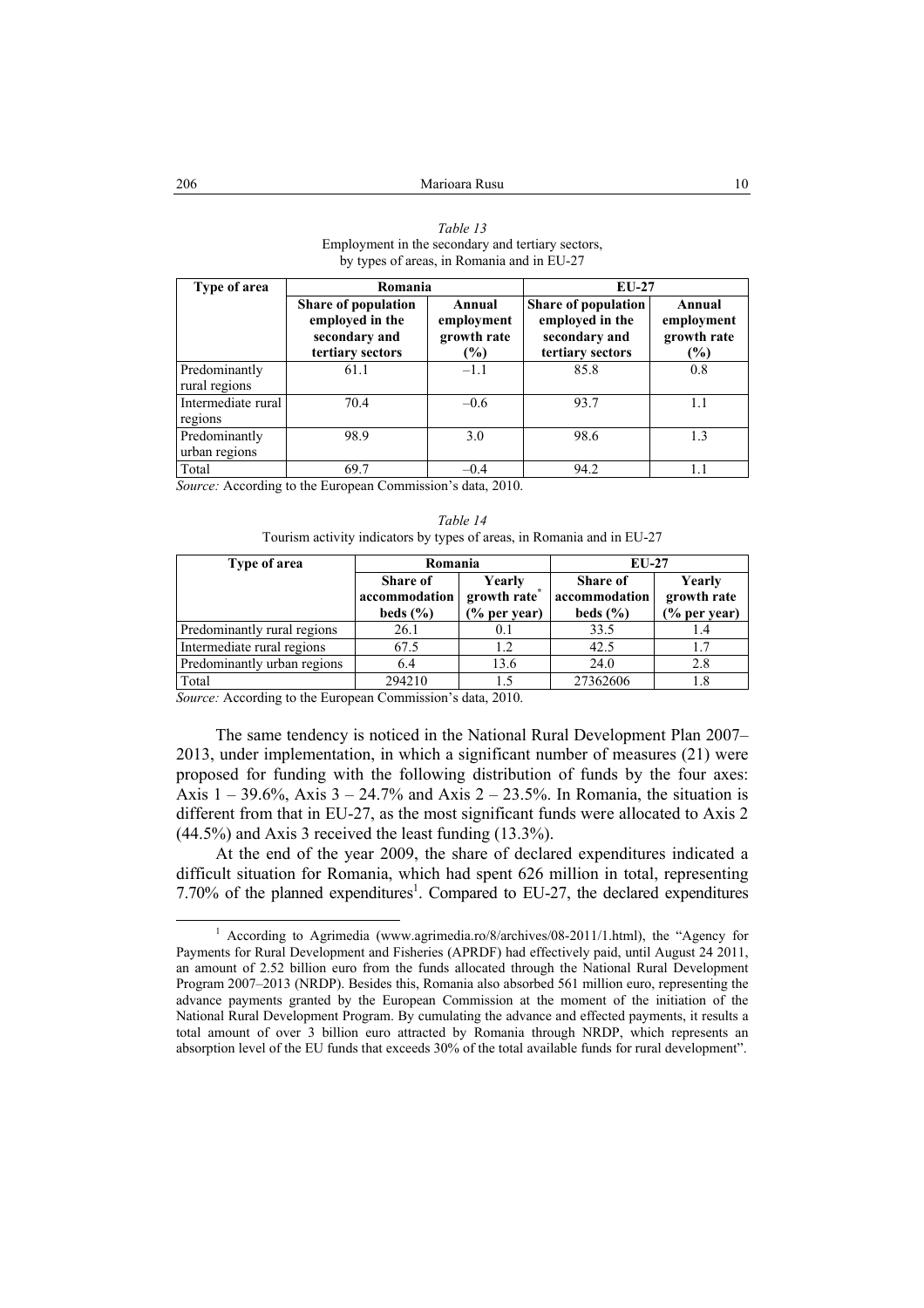| Type of area                   | Romania                                                                     |                                               | EU-27                                                                       |                                               |  |
|--------------------------------|-----------------------------------------------------------------------------|-----------------------------------------------|-----------------------------------------------------------------------------|-----------------------------------------------|--|
|                                | Share of population<br>employed in the<br>secondary and<br>tertiary sectors | Annual<br>employment<br>growth rate<br>$(\%)$ | Share of population<br>employed in the<br>secondary and<br>tertiary sectors | Annual<br>employment<br>growth rate<br>$(\%)$ |  |
| Predominantly<br>rural regions | 61.1                                                                        | $-1.1$                                        | 85.8                                                                        | 0.8                                           |  |
| Intermediate rural<br>regions  | 70.4                                                                        | $-0.6$                                        | 93.7                                                                        | 1.1                                           |  |
| Predominantly<br>urban regions | 98.9                                                                        | 3.0                                           | 98.6                                                                        | 1.3                                           |  |
| Total                          | 69.7                                                                        | $-0.4$                                        | 94.2                                                                        |                                               |  |

*Table 13*  Employment in the secondary and tertiary sectors, by types of areas, in Romania and in EU-27

*Source:* According to the European Commission's data, 2010.

*Table 14*  Tourism activity indicators by types of areas, in Romania and in EU-27

| Type of area                | Romania                                                                                   |     | EU-27                                            |                                        |  |
|-----------------------------|-------------------------------------------------------------------------------------------|-----|--------------------------------------------------|----------------------------------------|--|
|                             | <b>Share of</b><br>Yearly<br>growth rate<br>accommodation<br>(% per year)<br>beds $(\% )$ |     | <b>Share of</b><br>accommodation<br>beds $(\% )$ | Yearly<br>growth rate<br>$%$ per year) |  |
| Predominantly rural regions | 26.1                                                                                      | 0.1 | 33.5                                             |                                        |  |
| Intermediate rural regions  | 67.5                                                                                      | 1.2 | 42.5                                             | 1.7                                    |  |
| Predominantly urban regions | 13.6<br>6.4                                                                               |     | 24.0                                             | 2.8                                    |  |
| Total                       | 294210                                                                                    |     | 27362606                                         | 1.8                                    |  |

*Source:* According to the European Commission's data, 2010.

The same tendency is noticed in the National Rural Development Plan 2007– 2013, under implementation, in which a significant number of measures (21) were proposed for funding with the following distribution of funds by the four axes: Axis  $1 - 39.6\%$ , Axis  $3 - 24.7\%$  and Axis  $2 - 23.5\%$ . In Romania, the situation is different from that in EU-27, as the most significant funds were allocated to Axis 2 (44.5%) and Axis 3 received the least funding (13.3%).

At the end of the year 2009, the share of declared expenditures indicated a difficult situation for Romania, which had spent 626 million in total, representing 7.70% of the planned expenditures<sup>1</sup>. Compared to EU-27, the declared expenditures

 $\frac{1}{1}$  $1$  According to Agrimedia (www.agrimedia.ro/8/archives/08-2011/1.html), the "Agency for Payments for Rural Development and Fisheries (APRDF) had effectively paid, until August 24 2011, an amount of 2.52 billion euro from the funds allocated through the National Rural Development Program 2007–2013 (NRDP). Besides this, Romania also absorbed 561 million euro, representing the advance payments granted by the European Commission at the moment of the initiation of the National Rural Development Program. By cumulating the advance and effected payments, it results a total amount of over 3 billion euro attracted by Romania through NRDP, which represents an absorption level of the EU funds that exceeds 30% of the total available funds for rural development".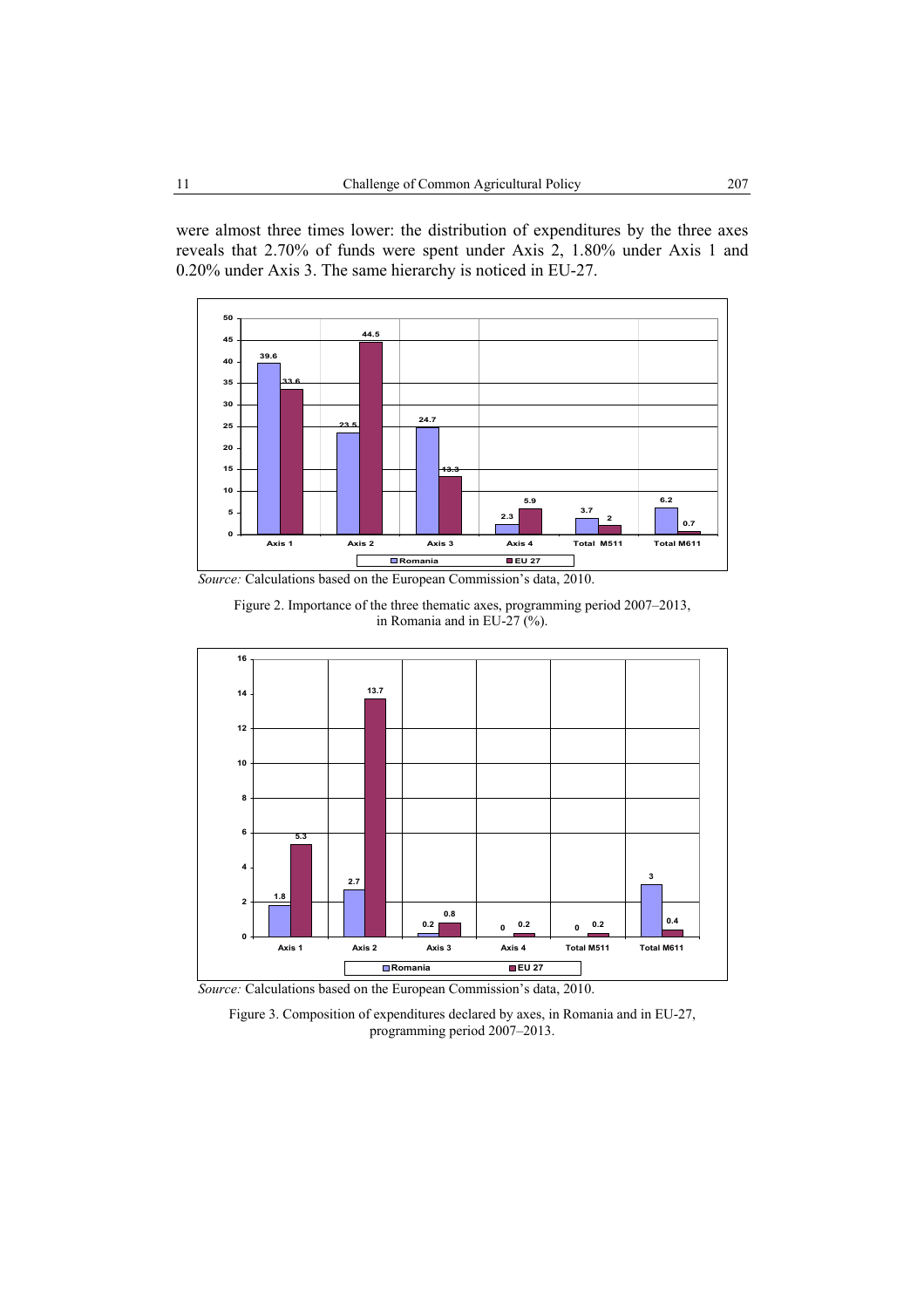were almost three times lower: the distribution of expenditures by the three axes reveals that 2.70% of funds were spent under Axis 2, 1.80% under Axis 1 and 0.20% under Axis 3. The same hierarchy is noticed in EU-27.



*Source:* Calculations based on the European Commission's data, 2010.





*Source:* Calculations based on the European Commission's data, 2010.

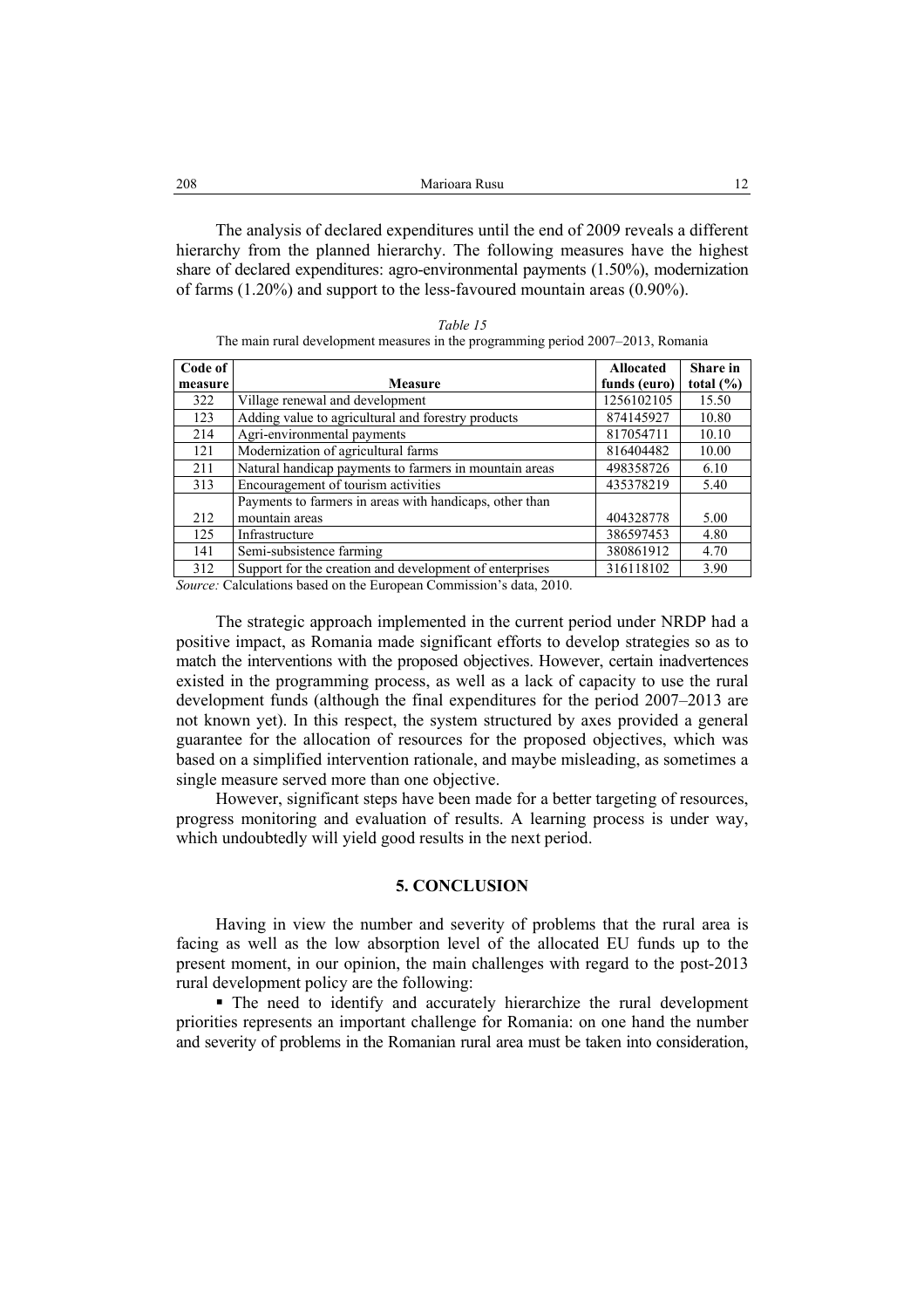| 208 | Marioara Rusu |  |
|-----|---------------|--|
|     |               |  |

The analysis of declared expenditures until the end of 2009 reveals a different hierarchy from the planned hierarchy. The following measures have the highest share of declared expenditures: agro-environmental payments (1.50%), modernization of farms (1.20%) and support to the less-favoured mountain areas (0.90%).

| Table 15                                                                         |
|----------------------------------------------------------------------------------|
| The main rural development measures in the programming period 2007–2013, Romania |

| Code of |                                                         | <b>Allocated</b> | Share in      |
|---------|---------------------------------------------------------|------------------|---------------|
| measure | <b>Measure</b>                                          | funds (euro)     | total $(\% )$ |
| 322     | Village renewal and development                         | 1256102105       | 15.50         |
| 123     | Adding value to agricultural and forestry products      | 874145927        | 10.80         |
| 214     | Agri-environmental payments                             | 817054711        | 10.10         |
| 121     | Modernization of agricultural farms                     | 816404482        | 10.00         |
| 211     | Natural handicap payments to farmers in mountain areas  | 498358726        | 6.10          |
| 313     | Encouragement of tourism activities                     | 435378219        | 5.40          |
|         | Payments to farmers in areas with handicaps, other than |                  |               |
| 212     | mountain areas                                          | 404328778        | 5.00          |
| 125     | Infrastructure                                          | 386597453        | 4.80          |
| 141     | Semi-subsistence farming                                | 380861912        | 4.70          |
| 312     | Support for the creation and development of enterprises | 316118102        | 3.90          |

*Source:* Calculations based on the European Commission's data, 2010.

The strategic approach implemented in the current period under NRDP had a positive impact, as Romania made significant efforts to develop strategies so as to match the interventions with the proposed objectives. However, certain inadvertences existed in the programming process, as well as a lack of capacity to use the rural development funds (although the final expenditures for the period 2007–2013 are not known yet). In this respect, the system structured by axes provided a general guarantee for the allocation of resources for the proposed objectives, which was based on a simplified intervention rationale, and maybe misleading, as sometimes a single measure served more than one objective.

However, significant steps have been made for a better targeting of resources, progress monitoring and evaluation of results. A learning process is under way, which undoubtedly will yield good results in the next period.

#### **5. CONCLUSION**

Having in view the number and severity of problems that the rural area is facing as well as the low absorption level of the allocated EU funds up to the present moment, in our opinion, the main challenges with regard to the post-2013 rural development policy are the following:

 The need to identify and accurately hierarchize the rural development priorities represents an important challenge for Romania: on one hand the number and severity of problems in the Romanian rural area must be taken into consideration,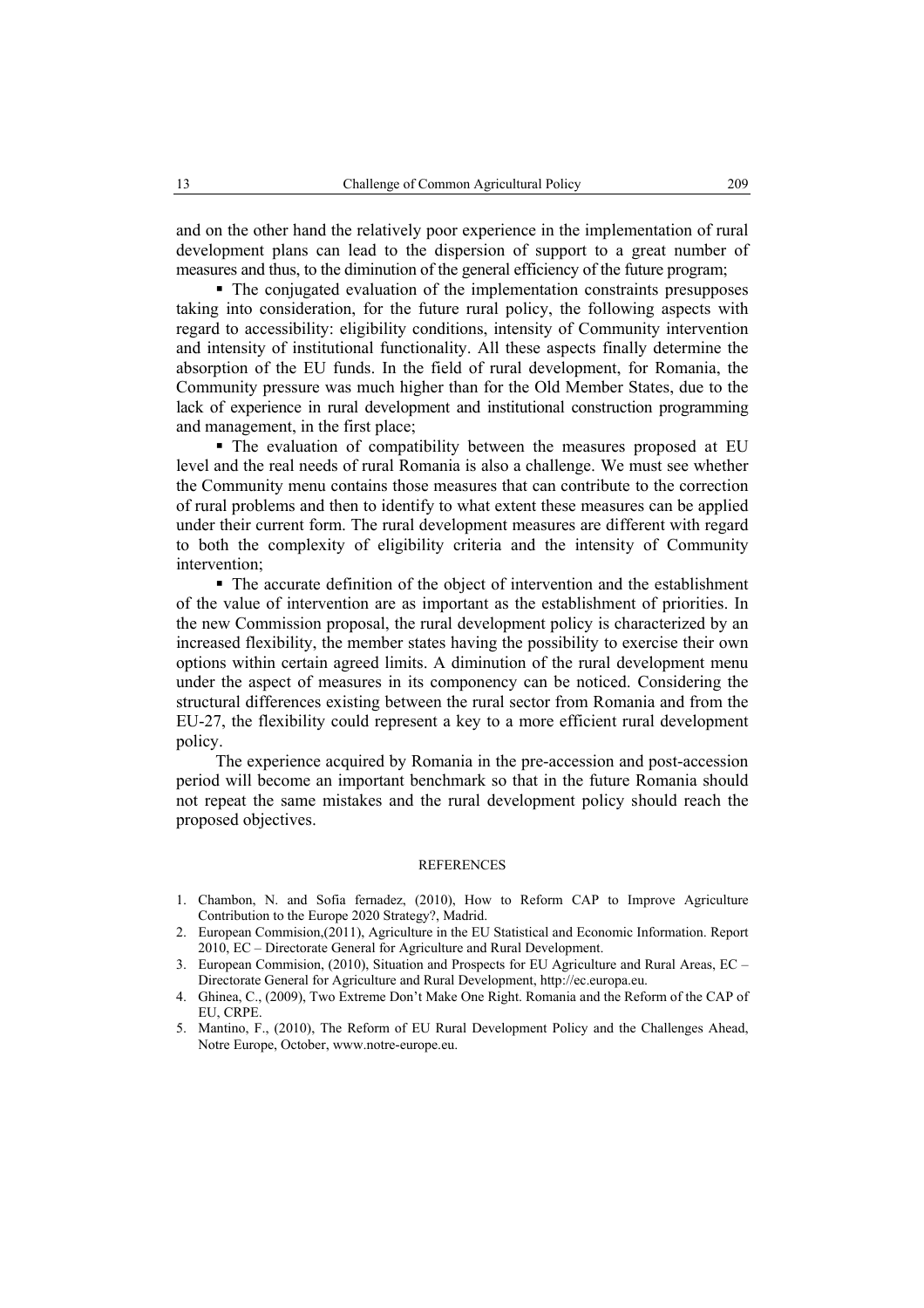and on the other hand the relatively poor experience in the implementation of rural development plans can lead to the dispersion of support to a great number of measures and thus, to the diminution of the general efficiency of the future program;

• The conjugated evaluation of the implementation constraints presupposes taking into consideration, for the future rural policy, the following aspects with regard to accessibility: eligibility conditions, intensity of Community intervention and intensity of institutional functionality. All these aspects finally determine the absorption of the EU funds. In the field of rural development, for Romania, the Community pressure was much higher than for the Old Member States, due to the lack of experience in rural development and institutional construction programming and management, in the first place;

 The evaluation of compatibility between the measures proposed at EU level and the real needs of rural Romania is also a challenge. We must see whether the Community menu contains those measures that can contribute to the correction of rural problems and then to identify to what extent these measures can be applied under their current form. The rural development measures are different with regard to both the complexity of eligibility criteria and the intensity of Community intervention;

 The accurate definition of the object of intervention and the establishment of the value of intervention are as important as the establishment of priorities. In the new Commission proposal, the rural development policy is characterized by an increased flexibility, the member states having the possibility to exercise their own options within certain agreed limits. A diminution of the rural development menu under the aspect of measures in its componency can be noticed. Considering the structural differences existing between the rural sector from Romania and from the EU-27, the flexibility could represent a key to a more efficient rural development policy.

The experience acquired by Romania in the pre-accession and post-accession period will become an important benchmark so that in the future Romania should not repeat the same mistakes and the rural development policy should reach the proposed objectives.

#### **REFERENCES**

- 1. Chambon, N. and Sofia fernadez, (2010), How to Reform CAP to Improve Agriculture Contribution to the Europe 2020 Strategy?, Madrid.
- 2. European Commision,(2011), Agriculture in the EU Statistical and Economic Information. Report 2010, EC – Directorate General for Agriculture and Rural Development.
- 3. European Commision, (2010), Situation and Prospects for EU Agriculture and Rural Areas, EC Directorate General for Agriculture and Rural Development, http://ec.europa.eu.
- 4. Ghinea, C., (2009), Two Extreme Don't Make One Right. Romania and the Reform of the CAP of EU, CRPE.
- 5. Mantino, F., (2010), The Reform of EU Rural Development Policy and the Challenges Ahead, Notre Europe, October, www.notre-europe.eu.